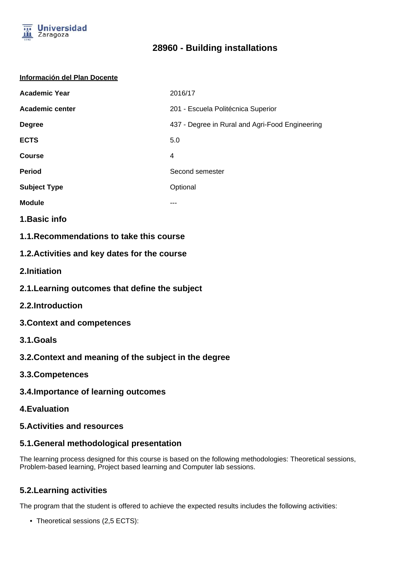

#### **Información del Plan Docente**

| <b>Academic Year</b> | 2016/17                                         |
|----------------------|-------------------------------------------------|
| Academic center      | 201 - Escuela Politécnica Superior              |
| <b>Degree</b>        | 437 - Degree in Rural and Agri-Food Engineering |
| <b>ECTS</b>          | 5.0                                             |
| <b>Course</b>        | 4                                               |
| <b>Period</b>        | Second semester                                 |
| <b>Subject Type</b>  | Optional                                        |
| <b>Module</b>        |                                                 |

- **1.Basic info**
- **1.1.Recommendations to take this course**

### **1.2.Activities and key dates for the course**

- **2.Initiation**
- **2.1.Learning outcomes that define the subject**
- **2.2.Introduction**
- **3.Context and competences**
- **3.1.Goals**
- **3.2.Context and meaning of the subject in the degree**
- **3.3.Competences**
- **3.4.Importance of learning outcomes**
- **4.Evaluation**

#### **5.Activities and resources**

### **5.1.General methodological presentation**

The learning process designed for this course is based on the following methodologies: Theoretical sessions, Problem-based learning, Project based learning and Computer lab sessions.

### **5.2.Learning activities**

The program that the student is offered to achieve the expected results includes the following activities:

• Theoretical sessions (2,5 ECTS):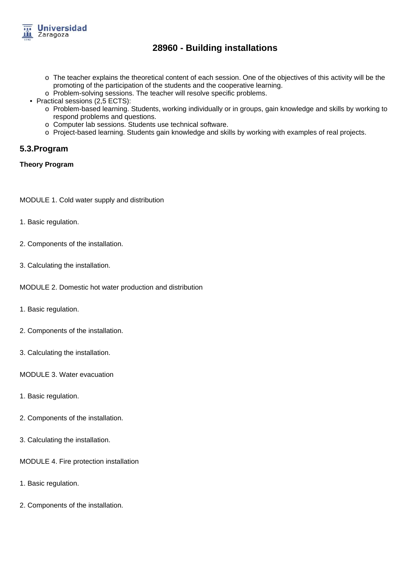

- o The teacher explains the theoretical content of each session. One of the objectives of this activity will be the promoting of the participation of the students and the cooperative learning.
- o Problem-solving sessions. The teacher will resolve specific problems.
- Practical sessions (2,5 ECTS):
	- o Problem-based learning. Students, working individually or in groups, gain knowledge and skills by working to respond problems and questions.
	- o Computer lab sessions. Students use technical software.
	- o Project-based learning. Students gain knowledge and skills by working with examples of real projects.

#### **5.3.Program**

#### **Theory Program**

MODULE 1. Cold water supply and distribution

- 1. Basic regulation.
- 2. Components of the installation.
- 3. Calculating the installation.

MODULE 2. Domestic hot water production and distribution

- 1. Basic regulation.
- 2. Components of the installation.
- 3. Calculating the installation.

MODULE 3. Water evacuation

- 1. Basic regulation.
- 2. Components of the installation.
- 3. Calculating the installation.
- MODULE 4. Fire protection installation
- 1. Basic regulation.
- 2. Components of the installation.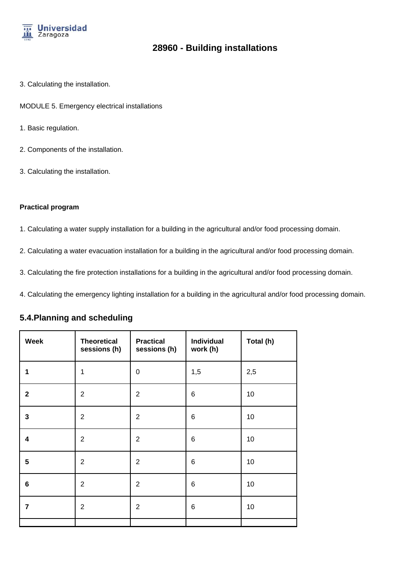

- 3. Calculating the installation.
- MODULE 5. Emergency electrical installations
- 1. Basic regulation.
- 2. Components of the installation.
- 3. Calculating the installation.

#### **Practical program**

- 1. Calculating a water supply installation for a building in the agricultural and/or food processing domain.
- 2. Calculating a water evacuation installation for a building in the agricultural and/or food processing domain.
- 3. Calculating the fire protection installations for a building in the agricultural and/or food processing domain.
- 4. Calculating the emergency lighting installation for a building in the agricultural and/or food processing domain.

#### **5.4.Planning and scheduling**

| <b>Week</b>     | <b>Theoretical</b><br>sessions (h) | <b>Practical</b><br>sessions (h) | <b>Individual</b><br>work (h) | Total (h) |
|-----------------|------------------------------------|----------------------------------|-------------------------------|-----------|
| 1               | 1                                  | 0                                | 1,5                           | 2,5       |
| $\mathbf{2}$    | $\overline{2}$                     | $\overline{2}$                   | 6                             | 10        |
| $\mathbf{3}$    | $\overline{2}$                     | $\overline{2}$                   | 6                             | 10        |
| 4               | $\overline{2}$                     | $\overline{2}$                   | 6                             | 10        |
| $5\phantom{.0}$ | $\overline{2}$                     | $\overline{2}$                   | 6                             | 10        |
| $6\phantom{1}$  | $\overline{2}$                     | $\overline{2}$                   | 6                             | 10        |
| $\overline{7}$  | $\overline{2}$                     | $\overline{2}$                   | 6                             | 10        |
|                 |                                    |                                  |                               |           |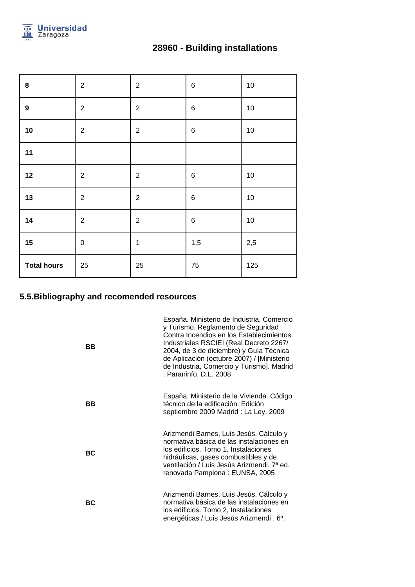

| 28960 - Building installations |  |
|--------------------------------|--|
|--------------------------------|--|

| $\bf8$             | $\overline{2}$ | $\sqrt{2}$     | $\,6$ | 10  |
|--------------------|----------------|----------------|-------|-----|
| $\boldsymbol{9}$   | $\overline{2}$ | $\sqrt{2}$     | $\,6$ | 10  |
| 10                 | $\overline{2}$ | $\sqrt{2}$     | $\,6$ | 10  |
| 11                 |                |                |       |     |
| 12                 | $\sqrt{2}$     | $\sqrt{2}$     | $\,6$ | 10  |
| 13                 | $\overline{2}$ | $\sqrt{2}$     | $\,6$ | 10  |
| 14                 | $\overline{2}$ | $\overline{2}$ | $\,6$ | 10  |
| 15                 | $\pmb{0}$      | $\mathbf 1$    | 1,5   | 2,5 |
| <b>Total hours</b> | 25             | 25             | 75    | 125 |

## **5.5.Bibliography and recomended resources**

| ВB | España. Ministerio de Industria, Comercio<br>y Turismo. Reglamento de Seguridad<br>Contra Incendios en los Establecimientos<br>Industriales RSCIEI (Real Decreto 2267/<br>2004, de 3 de diciembre) y Guía Técnica<br>de Aplicación (octubre 2007) / [Ministerio<br>de Industria, Comercio y Turismo]. Madrid<br>: Paraninfo, D.L. 2008 |
|----|----------------------------------------------------------------------------------------------------------------------------------------------------------------------------------------------------------------------------------------------------------------------------------------------------------------------------------------|
| BВ | España. Ministerio de la Vivienda. Código<br>técnico de la edificación. Edición<br>septiembre 2009 Madrid : La Ley, 2009                                                                                                                                                                                                               |
| ВC | Arizmendi Barnes, Luis Jesús. Cálculo y<br>normativa básica de las instalaciones en<br>los edificios. Tomo 1, Instalaciones<br>hidráulicas, gases combustibles y de<br>ventilación / Luis Jesús Arizmendi. 7ª ed.<br>renovada Pamplona: EUNSA, 2005                                                                                    |
| ВC | Arizmendi Barnes, Luis Jesús. Cálculo y<br>normativa básica de las instalaciones en<br>los edificios. Tomo 2, Instalaciones<br>energéticas / Luis Jesús Arizmendi. 6 <sup>a</sup> .                                                                                                                                                    |